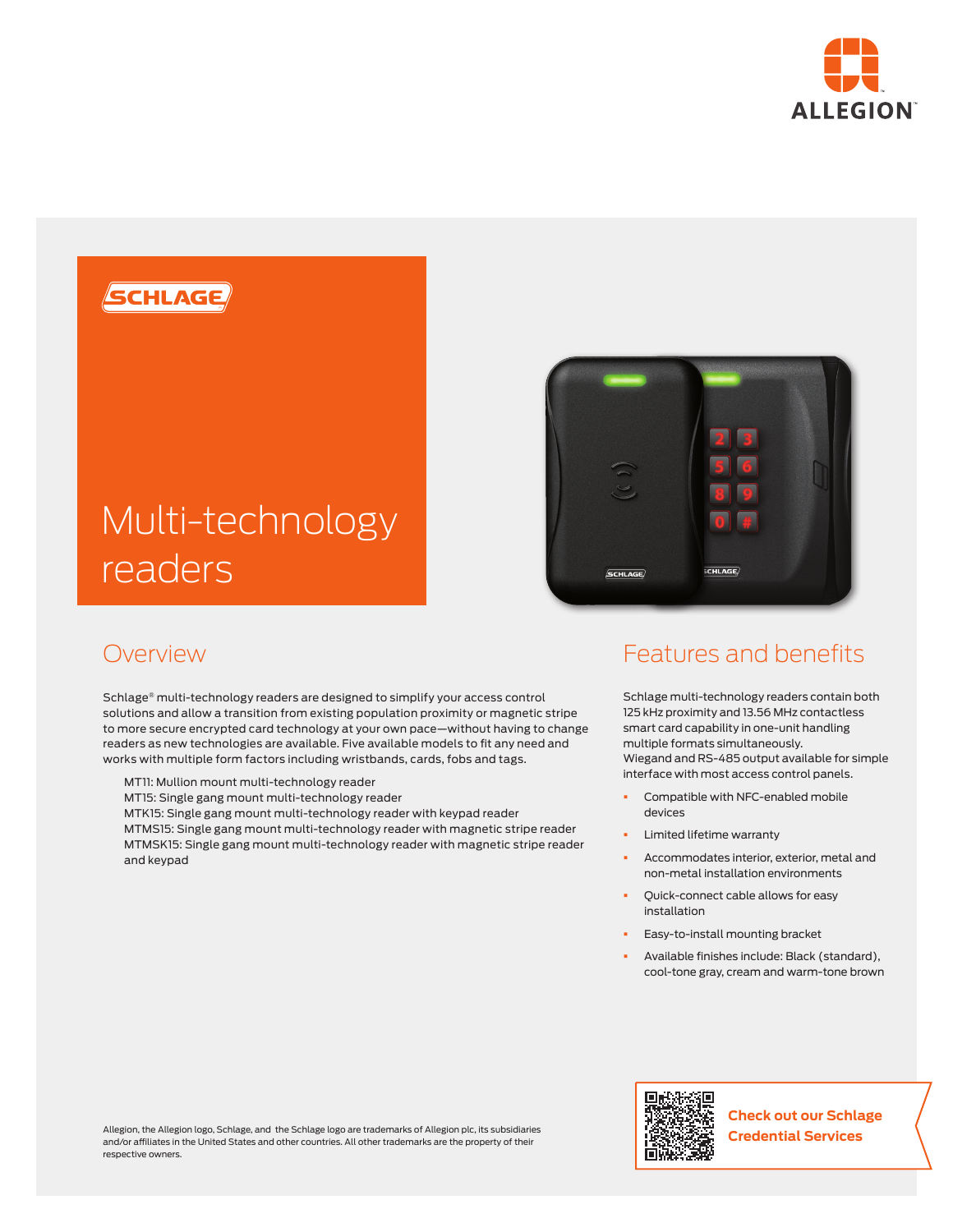



# **SCHLAGE SCHLAGE**

# Multi-technology readers

## Overview

Schlage® multi-technology readers are designed to simplify your access control solutions and allow a transition from existing population proximity or magnetic stripe to more secure encrypted card technology at your own pace—without having to change readers as new technologies are available. Five available models to fit any need and works with multiple form factors including wristbands, cards, fobs and tags.

- MT11: Mullion mount multi-technology reader
- MT15: Single gang mount multi-technology reader
- MTK15: Single gang mount multi-technology reader with keypad reader

MTMS15: Single gang mount multi-technology reader with magnetic stripe reader MTMSK15: Single gang mount multi-technology reader with magnetic stripe reader and keypad

## Features and benefits

Schlage multi-technology readers contain both 125 kHz proximity and 13.56 MHz contactless smart card capability in one-unit handling multiple formats simultaneously. Wiegand and RS-485 output available for simple interface with most access control panels.

- § Compatible with NFC-enabled mobile devices
- § Limited lifetime warranty
- § Accommodates interior, exterior, metal and non-metal installation environments
- § Quick-connect cable allows for easy installation
- Easy-to-install mounting bracket
- § Available finishes include: Black (standard), cool-tone gray, cream and warm-tone brown

Allegion, the Allegion logo, Schlage, and the Schlage logo are trademarks of Allegion plc, its subsidiaries and/or affiliates in the United States and other countries. All other trademarks are the property of their respective owners.



**Check out our Schlage Credential Services**